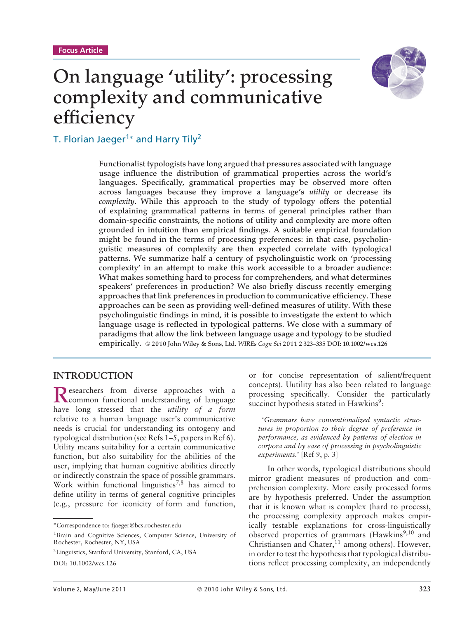# **On language 'utility': processing complexity and communicative efficiency**



T. Florian Jaeger<sup>1\*</sup> and Harry Tily<sup>2</sup>

**Functionalist typologists have long argued that pressures associated with language usage influence the distribution of grammatical properties across the world's languages. Specifically, grammatical properties may be observed more often across languages because they improve a language's** *utility* **or decrease its** *complexity***. While this approach to the study of typology offers the potential of explaining grammatical patterns in terms of general principles rather than domain-specific constraints, the notions of utility and complexity are more often grounded in intuition than empirical findings. A suitable empirical foundation might be found in the terms of processing preferences: in that case, psycholinguistic measures of complexity are then expected correlate with typological patterns. We summarize half a century of psycholinguistic work on 'processing complexity' in an attempt to make this work accessible to a broader audience: What makes something hard to process for comprehenders, and what determines speakers' preferences in production? We also briefly discuss recently emerging approaches that link preferences in production to communicative efficiency. These approaches can be seen as providing well-defined measures of utility. With these psycholinguistic findings in mind, it is possible to investigate the extent to which language usage is reflected in typological patterns. We close with a summary of paradigms that allow the link between language usage and typology to be studied empirically. 2010 John Wiley & Sons, Ltd.** *WIREs Cogn Sci* **2011 2 323–335 DOI: 10.1002/wcs.126**

## **INTRODUCTION**

Researchers from diverse approaches with a<br>common functional understanding of language have long stressed that the *utility of a form* relative to a human language user's communicative needs is crucial for understanding its ontogeny and typological distribution (see Refs 1–5, papers in Ref 6). Utility means suitability for a certain communicative function, but also suitability for the abilities of the user, implying that human cognitive abilities directly or indirectly constrain the space of possible grammars. Work within functional linguistics<sup>7,8</sup> has aimed to define utility in terms of general cognitive principles (e.g., pressure for iconicity of form and function,

DOI: 10.1002/wcs.126

or for concise representation of salient/frequent concepts). Uutility has also been related to language processing specifically. Consider the particularly succinct hypothesis stated in Hawkins<sup>9</sup>:

'*Grammars have conventionalized syntactic structures in proportion to their degree of preference in performance, as evidenced by patterns of election in corpora and by ease of processing in psycholinguistic experiments.*' [Ref 9, p. 3]

In other words, typological distributions should mirror gradient measures of production and comprehension complexity. More easily processed forms are by hypothesis preferred. Under the assumption that it is known what is complex (hard to process), the processing complexity approach makes empirically testable explanations for cross-linguistically observed properties of grammars  $(Hawkins<sup>9,10</sup>)$  and Christiansen and Chater, $^{11}$  among others). However, in order to test the hypothesis that typological distributions reflect processing complexity, an independently

<sup>∗</sup>Correspondence to: fjaeger@bcs.rochester.edu

<sup>&</sup>lt;sup>1</sup>Brain and Cognitive Sciences, Computer Science, University of Rochester, Rochester, NY, USA

<sup>2</sup>Linguistics, Stanford University, Stanford, CA, USA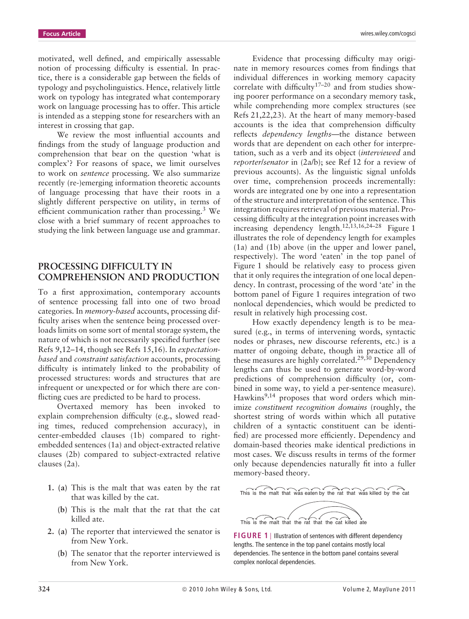**Focus Article** wires.wiley.com/cogsci

motivated, well defined, and empirically assessable notion of processing difficulty is essential. In practice, there is a considerable gap between the fields of typology and psycholinguistics. Hence, relatively little work on typology has integrated what contemporary work on language processing has to offer. This article is intended as a stepping stone for researchers with an interest in crossing that gap.

We review the most influential accounts and findings from the study of language production and comprehension that bear on the question 'what is complex'? For reasons of space, we limit ourselves to work on *sentence* processing. We also summarize recently (re-)emerging information theoretic accounts of language processing that have their roots in a slightly different perspective on utility, in terms of efficient communication rather than processing.<sup>3</sup> We close with a brief summary of recent approaches to studying the link between language use and grammar.

### **PROCESSING DIFFICULTY IN COMPREHENSION AND PRODUCTION**

To a first approximation, contemporary accounts of sentence processing fall into one of two broad categories. In *memory-based* accounts, processing difficulty arises when the sentence being processed overloads limits on some sort of mental storage system, the nature of which is not necessarily specified further (see Refs 9,12–14, though see Refs 15,16). In *expectationbased* and *constraint satisfaction* accounts, processing difficulty is intimately linked to the probability of processed structures: words and structures that are infrequent or unexpected or for which there are conflicting cues are predicted to be hard to process.

Overtaxed memory has been invoked to explain comprehension difficulty (e.g., slowed reading times, reduced comprehension accuracy), in center-embedded clauses (1b) compared to rightembedded sentences (1a) and object-extracted relative clauses (2b) compared to subject-extracted relative clauses (2a).

- **1. (a)** This is the malt that was eaten by the rat that was killed by the cat.
	- **(b)** This is the malt that the rat that the cat killed ate.
- **2. (a)** The reporter that interviewed the senator is from New York.
	- **(b)** The senator that the reporter interviewed is from New York.

Evidence that processing difficulty may originate in memory resources comes from findings that individual differences in working memory capacity correlate with difficulty<sup>17–20</sup> and from studies showing poorer performance on a secondary memory task, while comprehending more complex structures (see Refs 21,22,23). At the heart of many memory-based accounts is the idea that comprehension difficulty reflects *dependency lengths*—the distance between words that are dependent on each other for interpretation, such as a verb and its object (*interviewed* and *reporter*/*senator* in (2a/b); see Ref 12 for a review of previous accounts). As the linguistic signal unfolds over time, comprehension proceeds incrementally: words are integrated one by one into a representation of the structure and interpretation of the sentence. This integration requires retrieval of previous material. Processing difficulty at the integration point increases with increasing dependency length.<sup>12,13,16,24–28</sup> Figure 1 illustrates the role of dependency length for examples (1a) and (1b) above (in the upper and lower panel, respectively). The word 'eaten' in the top panel of Figure 1 should be relatively easy to process given that it only requires the integration of one local dependency. In contrast, processing of the word 'ate' in the bottom panel of Figure 1 requires integration of two nonlocal dependencies, which would be predicted to result in relatively high processing cost.

How exactly dependency length is to be measured (e.g., in terms of intervening words, syntactic nodes or phrases, new discourse referents, etc.) is a matter of ongoing debate, though in practice all of these measures are highly correlated.<sup>29,30</sup> Dependency lengths can thus be used to generate word-by-word predictions of comprehension difficulty (or, combined in some way, to yield a per-sentence measure). Hawkins<sup>9,14</sup> proposes that word orders which minimize *constituent recognition domains* (roughly, the shortest string of words within which all putative children of a syntactic constituent can be identified) are processed more efficiently. Dependency and domain-based theories make identical predictions in most cases. We discuss results in terms of the former only because dependencies naturally fit into a fuller memory-based theory.



**FIGURE 1** | Illustration of sentences with different dependency lengths. The sentence in the top panel contains mostly local dependencies. The sentence in the bottom panel contains several complex nonlocal dependencies.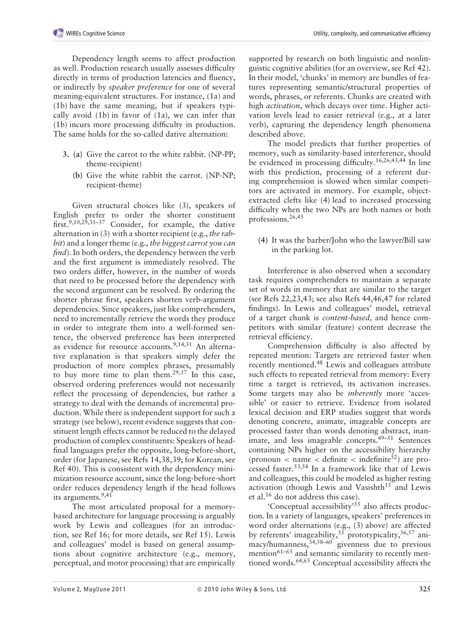Dependency length seems to affect production as well. Production research usually assesses difficulty directly in terms of production latencies and fluency, or indirectly by *speaker preference* for one of several meaning-equivalent structures. For instance, (1a) and (1b) have the same meaning, but if speakers typically avoid (1b) in favor of (1a), we can infer that (1b) incurs more processing difficulty in production. The same holds for the so-called dative alternation:

- **3. (a)** Give the carrot to the white rabbit. (NP-PP; theme-recipient)
	- **(b)** Give the white rabbit the carrot. (NP-NP; recipient-theme)

Given structural choices like (3), speakers of English prefer to order the shorter constituent first.<sup>9,10,29,31–37</sup> Consider, for example, the dative alternation in (3) with a shorter recipient (e.g., *the rabbit*) and a longer theme (e.g., *the biggest carrot you can find*). In both orders, the dependency between the verb and the first argument is immediately resolved. The two orders differ, however, in the number of words that need to be processed before the dependency with the second argument can be resolved. By ordering the shorter phrase first, speakers shorten verb-argument dependencies. Since speakers, just like comprehenders, need to incrementally retrieve the words they produce in order to integrate them into a well-formed sentence, the observed preference has been interpreted as evidence for resource accounts.<sup>9,14,31</sup> An alternative explanation is that speakers simply defer the production of more complex phrases, presumably to buy more time to plan them.<sup>29,37</sup> In this case, observed ordering preferences would not necessarily reflect the processing of dependencies, but rather a strategy to deal with the demands of incremental production. While there is independent support for such a strategy (see below), recent evidence suggests that constituent length effects cannot be reduced to the delayed production of complex constituents: Speakers of headfinal languages prefer the opposite, long-before-short, order (for Japanese, see Refs 14,38,39; for Korean, see Ref 40). This is consistent with the dependency minimization resource account, since the long-before-short order reduces dependency length if the head follows its arguments.<sup>9,41</sup>

The most articulated proposal for a memorybased architecture for language processing is arguably work by Lewis and colleagues (for an introduction, see Ref 16; for more details, see Ref 15). Lewis and colleagues' model is based on general assumptions about cognitive architecture (e.g., memory, perceptual, and motor processing) that are empirically supported by research on both linguistic and nonlinguistic cognitive abilities (for an overview, see Ref 42). In their model, 'chunks' in memory are bundles of features representing semantic/structural properties of words, phrases, or referents. Chunks are created with high *activation*, which decays over time. Higher activation levels lead to easier retrieval (e.g., at a later verb), capturing the dependency length phenomena described above.

The model predicts that further properties of memory, such as similarity-based interference, should be evidenced in processing difficulty.16,26,43,44 In line with this prediction, processing of a referent during comprehension is slowed when similar competitors are activated in memory. For example, objectextracted clefts like (4) lead to increased processing difficulty when the two NPs are both names or both professions.26,45

**(4)** It was the barber/John who the lawyer/Bill saw in the parking lot.

Interference is also observed when a secondary task requires comprehenders to maintain a separate set of words in memory that are similar to the target (see Refs 22,23,43; see also Refs 44,46,47 for related findings). In Lewis and colleagues' model, retrieval of a target chunk is *content-based,* and hence competitors with similar (feature) content decrease the retrieval efficiency.

Comprehension difficulty is also affected by repeated mention: Targets are retrieved faster when recently mentioned.48 Lewis and colleagues attribute such effects to repeated retrieval from memory: Every time a target is retrieved, its activation increases. Some targets may also be *inherently* more 'accessible' or easier to retrieve. Evidence from isolated lexical decision and ERP studies suggest that words denoting concrete, animate, imageable concepts are processed faster than words denoting abstract, inanimate, and less imageable concepts.49–51 Sentences containing NPs higher on the accessibility hierarchy (pronoun  $\lt$  name  $\lt$  definite  $\lt$  indefinite<sup>52</sup>) are processed faster.53,54 In a framework like that of Lewis and colleagues, this could be modeled as higher resting activation (though Lewis and Vasishth $15$  and Lewis et al.16 do not address this case).

'Conceptual accessibility'55 also affects production. In a variety of languages, speakers' preferences in word order alternations (e.g., (3) above) are affected by referents' imageability,  $55$  prototypicality,  $56,57$  animacy/humanness,34,58–60 givenness due to previous mention<sup>61–63</sup> and semantic similarity to recently mentioned words.<sup>64,65</sup> Conceptual accessibility affects the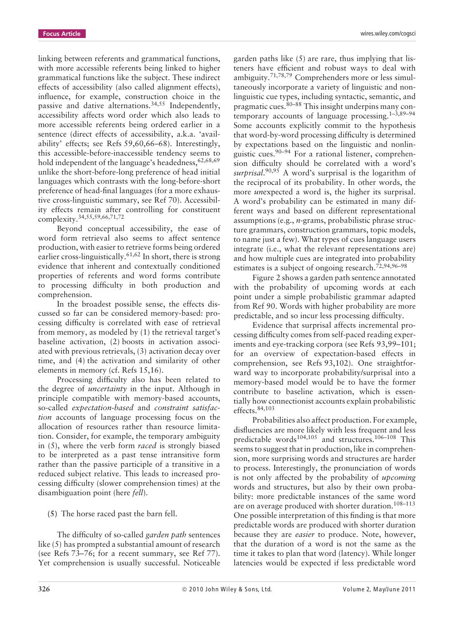linking between referents and grammatical functions, with more accessible referents being linked to higher grammatical functions like the subject. These indirect effects of accessibility (also called alignment effects), influence, for example, construction choice in the passive and dative alternations.34,55 Independently, accessibility affects word order which also leads to more accessible referents being ordered earlier in a sentence (direct effects of accessibility, a.k.a. 'availability' effects; see Refs 59,60,66–68). Interestingly, this accessible-before-inaccessible tendency seems to hold independent of the language's headedness,  $62,68,69$ unlike the short-before-long preference of head initial languages which contrasts with the long-before-short preference of head-final languages (for a more exhaustive cross-linguistic summary, see Ref 70). Accessibility effects remain after controlling for constituent complexity.34,55,59,66,71,72

Beyond conceptual accessibility, the ease of word form retrieval also seems to affect sentence production, with easier to retrieve forms being ordered earlier cross-linguistically.<sup>61,62</sup> In short, there is strong evidence that inherent and contextually conditioned properties of referents and word forms contribute to processing difficulty in both production and comprehension.

In the broadest possible sense, the effects discussed so far can be considered memory-based: processing difficulty is correlated with ease of retrieval from memory, as modeled by (1) the retrieval target's baseline activation, (2) boosts in activation associated with previous retrievals, (3) activation decay over time, and (4) the activation and similarity of other elements in memory (cf. Refs 15,16).

Processing difficulty also has been related to the degree of *uncertainty* in the input. Although in principle compatible with memory-based accounts, so-called *expectation-based* and *constraint satisfaction* accounts of language processing focus on the allocation of resources rather than resource limitation. Consider, for example, the temporary ambiguity in (5), where the verb form *raced* is strongly biased to be interpreted as a past tense intransitive form rather than the passive participle of a transitive in a reduced subject relative. This leads to increased processing difficulty (slower comprehension times) at the disambiguation point (here *fell*).

**(5)** The horse raced past the barn fell.

The difficulty of so-called *garden path* sentences like (5) has prompted a substantial amount of research (see Refs 73–76; for a recent summary, see Ref 77). Yet comprehension is usually successful. Noticeable garden paths like (5) are rare, thus implying that listeners have efficient and robust ways to deal with ambiguity.71,78,79 Comprehenders more or less simultaneously incorporate a variety of linguistic and nonlinguistic cue types, including syntactic, semantic, and pragmatic cues.80–88 This insight underpins many contemporary accounts of language processing. $1-3,89-94$ Some accounts explicitly commit to the hypothesis that word-by-word processing difficulty is determined by expectations based on the linguistic and nonlinguistic cues.<sup>90–94</sup> For a rational listener, comprehension difficulty should be correlated with a word's *surprisal*. 90,95 A word's surprisal is the logarithm of the reciprocal of its probability. In other words, the more *un*expected a word is, the higher its surprisal. A word's probability can be estimated in many different ways and based on different representational assumptions (e.g., *n*-grams, probabilistic phrase structure grammars, construction grammars, topic models, to name just a few). What types of cues language users integrate (i.e., what the relevant representations are) and how multiple cues are integrated into probability estimates is a subject of ongoing research.<sup>72,94,96-98</sup>

Figure 2 shows a garden path sentence annotated with the probability of upcoming words at each point under a simple probabilistic grammar adapted from Ref 90. Words with higher probability are more predictable, and so incur less processing difficulty.

Evidence that surprisal affects incremental processing difficulty comes from self-paced reading experiments and eye-tracking corpora (see Refs 93,99–101; for an overview of expectation-based effects in comprehension, see Refs 93,102). One straightforward way to incorporate probability/surprisal into a memory-based model would be to have the former contribute to baseline activation, which is essentially how connectionist accounts explain probabilistic effects.84,103

Probabilities also affect production. For example, disfluencies are more likely with less frequent and less predictable words<sup>104,105</sup> and structures.<sup>106-108</sup> This seems to suggest that in production, like in comprehension, more surprising words and structures are harder to process. Interestingly, the pronunciation of words is not only affected by the probability of *upcoming* words and structures, but also by their own probability: more predictable instances of the same word are on average produced with shorter duration.<sup>108-113</sup> One possible interpretation of this finding is that more predictable words are produced with shorter duration because they are *easier* to produce. Note, however, that the duration of a word is not the same as the time it takes to plan that word (latency). While longer latencies would be expected if less predictable word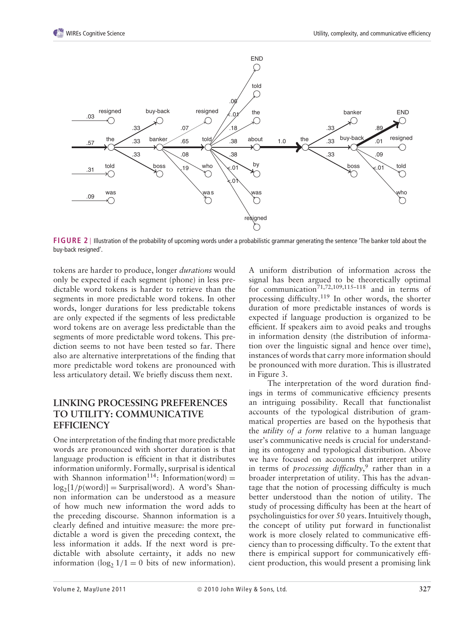

**FIGURE 2** | Illustration of the probability of upcoming words under a probabilistic grammar generating the sentence 'The banker told about the buy-back resigned'.

tokens are harder to produce, longer *durations* would only be expected if each segment (phone) in less predictable word tokens is harder to retrieve than the segments in more predictable word tokens. In other words, longer durations for less predictable tokens are only expected if the segments of less predictable word tokens are on average less predictable than the segments of more predictable word tokens. This prediction seems to not have been tested so far. There also are alternative interpretations of the finding that more predictable word tokens are pronounced with less articulatory detail. We briefly discuss them next.

## **LINKING PROCESSING PREFERENCES TO UTILITY: COMMUNICATIVE EFFICIENCY**

One interpretation of the finding that more predictable words are pronounced with shorter duration is that language production is efficient in that it distributes information uniformly. Formally, surprisal is identical with Shannon information<sup>114</sup>: Information(word) =  $log_2[1/p(word)] = \text{Surprisal(word)}$ . A word's Shannon information can be understood as a measure of how much new information the word adds to the preceding discourse. Shannon information is a clearly defined and intuitive measure: the more predictable a word is given the preceding context, the less information it adds. If the next word is predictable with absolute certainty, it adds no new information ( $log_2 1/1 = 0$  bits of new information). A uniform distribution of information across the signal has been argued to be theoretically optimal for communication<sup>71,72,109,115–118</sup> and in terms of processing difficulty.119 In other words, the shorter duration of more predictable instances of words is expected if language production is organized to be efficient. If speakers aim to avoid peaks and troughs in information density (the distribution of information over the linguistic signal and hence over time), instances of words that carry more information should be pronounced with more duration. This is illustrated in Figure 3.

The interpretation of the word duration findings in terms of communicative efficiency presents an intriguing possibility. Recall that functionalist accounts of the typological distribution of grammatical properties are based on the hypothesis that the *utility of a form* relative to a human language user's communicative needs is crucial for understanding its ontogeny and typological distribution. Above we have focused on accounts that interpret utility in terms of *processing difficulty*, <sup>9</sup> rather than in a broader interpretation of utility. This has the advantage that the notion of processing difficulty is much better understood than the notion of utility. The study of processing difficulty has been at the heart of psycholinguistics for over 50 years. Intuitively though, the concept of utility put forward in functionalist work is more closely related to communicative efficiency than to processing difficulty. To the extent that there is empirical support for communicatively efficient production, this would present a promising link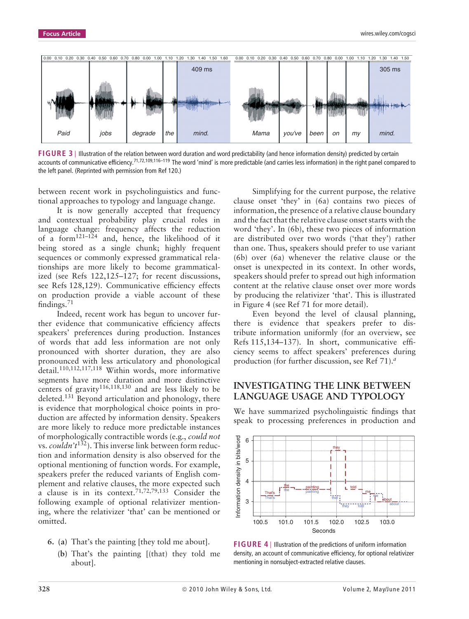

**FIGURE 3** | Illustration of the relation between word duration and word predictability (and hence information density) predicted by certain accounts of communicative efficiency.<sup>71,72,109,116–119</sup> The word 'mind' is more predictable (and carries less information) in the right panel compared to the left panel. (Reprinted with permission from Ref 120.)

between recent work in psycholinguistics and functional approaches to typology and language change.

It is now generally accepted that frequency and contextual probability play crucial roles in language change: frequency affects the reduction of a form $121-124$  and, hence, the likelihood of it being stored as a single chunk; highly frequent sequences or commonly expressed grammatical relationships are more likely to become grammaticalized (see Refs 122,125–127; for recent discussions, see Refs 128,129). Communicative efficiency effects on production provide a viable account of these findings.71

Indeed, recent work has begun to uncover further evidence that communicative efficiency affects speakers' preferences during production. Instances of words that add less information are not only pronounced with shorter duration, they are also pronounced with less articulatory and phonological detail.110,112,117,118 Within words, more informative segments have more duration and more distinctive centers of gravity<sup>116,118,130</sup> and are less likely to be deleted.131 Beyond articulation and phonology, there is evidence that morphological choice points in production are affected by information density. Speakers are more likely to reduce more predictable instances of morphologically contractible words (e.g., *could not* vs. *couldn't*132). This inverse link between form reduction and information density is also observed for the optional mentioning of function words. For example, speakers prefer the reduced variants of English complement and relative clauses, the more expected such a clause is in its context.<sup>71,72,79,133</sup> Consider the following example of optional relativizer mentioning, where the relativizer 'that' can be mentioned or omitted.

- **6. (a)** That's the painting [they told me about].
	- **(b)** That's the painting [(that) they told me about].

Simplifying for the current purpose, the relative clause onset 'they' in (6a) contains two pieces of information, the presence of a relative clause boundary and the fact that the relative clause onset starts with the word 'they'. In (6b), these two pieces of information are distributed over two words ('that they') rather than one. Thus, speakers should prefer to use variant (6b) over (6a) whenever the relative clause or the onset is unexpected in its context. In other words, speakers should prefer to spread out high information content at the relative clause onset over more words by producing the relativizer 'that'. This is illustrated in Figure 4 (see Ref 71 for more detail).

Even beyond the level of clausal planning, there is evidence that speakers prefer to distribute information uniformly (for an overview, see Refs 115,134–137). In short, communicative efficiency seems to affect speakers' preferences during production (for further discussion, see Ref 71).*<sup>a</sup>*

#### **INVESTIGATING THE LINK BETWEEN LANGUAGE USAGE AND TYPOLOGY**

We have summarized psycholinguistic findings that speak to processing preferences in production and



**FIGURE 4** | Illustration of the predictions of uniform information density, an account of communicative efficiency, for optional relativizer mentioning in nonsubject-extracted relative clauses.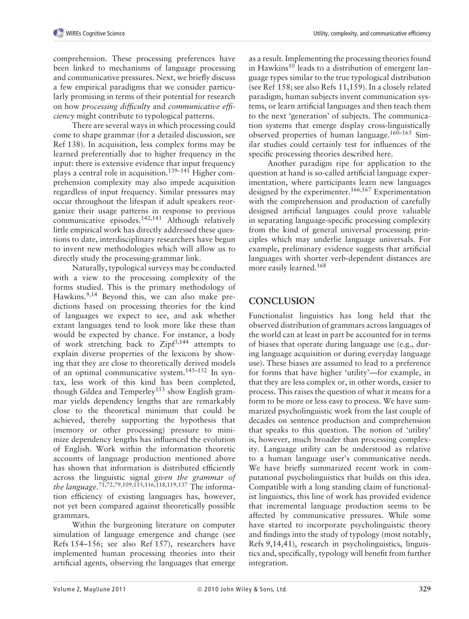comprehension. These processing preferences have been linked to mechanisms of language processing and communicative pressures. Next, we briefly discuss a few empirical paradigms that we consider particularly promising in terms of their potential for research on how *processing difficulty* and *communicative efficiency* might contribute to typological patterns.

There are several ways in which processing could come to shape grammar (for a detailed discussion, see Ref 138). In acquisition, less complex forms may be learned preferentially due to higher frequency in the input: there is extensive evidence that input frequency plays a central role in acquisition.139–141 Higher comprehension complexity may also impede acquisition regardless of input frequency. Similar pressures may occur throughout the lifespan if adult speakers reorganize their usage patterns in response to previous communicative episodes.142,143 Although relatively little empirical work has directly addressed these questions to date, interdisciplinary researchers have begun to invent new methodologies which will allow us to directly study the processing-grammar link.

Naturally, typological surveys may be conducted with a view to the processing complexity of the forms studied. This is the primary methodology of Hawkins.<sup>9,14</sup> Beyond this, we can also make predictions based on processing theories for the kind of languages we expect to see, and ask whether extant languages tend to look more like these than would be expected by chance. For instance, a body of work stretching back to  $\mathbb{Z}ipf^{3,144}$  attempts to explain diverse properties of the lexicons by showing that they are close to theoretically derived models of an optimal communicative system.<sup>145-152</sup> In syntax, less work of this kind has been completed, though Gildea and Temperley<sup>153</sup> show English grammar yields dependency lengths that are remarkably close to the theoretical minimum that could be achieved, thereby supporting the hypothesis that (memory or other processing) pressure to minimize dependency lengths has influenced the evolution of English. Work within the information theoretic accounts of language production mentioned above has shown that information is distributed efficiently across the linguistic signal *given the grammar of the language*. 71,72,79,109,115,116,118,119,137 The information efficiency of existing languages has, however, not yet been compared against theoretically possible grammars.

Within the burgeoning literature on computer simulation of language emergence and change (see Refs 154–156; see also Ref 157), researchers have implemented human processing theories into their artificial agents, observing the languages that emerge

as a result. Implementing the processing theories found in Hawkins<sup>10</sup> leads to a distribution of emergent language types similar to the true typological distribution (see Ref 158; see also Refs 11,159). In a closely related paradigm, human subjects invent communication systems, or learn artificial languages and then teach them to the next 'generation' of subjects. The communication systems that emerge display cross-linguistically observed properties of human language.160–165 Similar studies could certainly test for influences of the specific processing theories described here.

Another paradigm ripe for application to the question at hand is so-called artificial language experimentation, where participants learn new languages designed by the experimenter.166,167 Experimentation with the comprehension and production of carefully designed artificial languages could prove valuable in separating language-specific processing complexity from the kind of general universal processing principles which may underlie language universals. For example, preliminary evidence suggests that artificial languages with shorter verb-dependent distances are more easily learned.168

# **CONCLUSION**

Functionalist linguistics has long held that the observed distribution of grammars across languages of the world can at least in part be accounted for in terms of biases that operate during language use (e.g., during language acquisition or during everyday language use). These biases are assumed to lead to a preference for forms that have higher 'utility'—for example, in that they are less complex or, in other words, easier to process. This raises the question of what it means for a form to be more or less easy to process. We have summarized psycholinguistic work from the last couple of decades on sentence production and comprehension that speaks to this question. The notion of 'utility' is, however, much broader than processing complexity. Language utility can be understood as relative to a human language user's communicative needs. We have briefly summarized recent work in computational psycholinguistics that builds on this idea. Compatible with a long standing claim of functionalist linguistics, this line of work has provided evidence that incremental language production seems to be affected by communicative pressures. While some have started to incorporate psycholinguistic theory and findings into the study of typology (most notably, Refs 9,14,41), research in psycholinguistics, linguistics and, specifically, typology will benefit from further integration.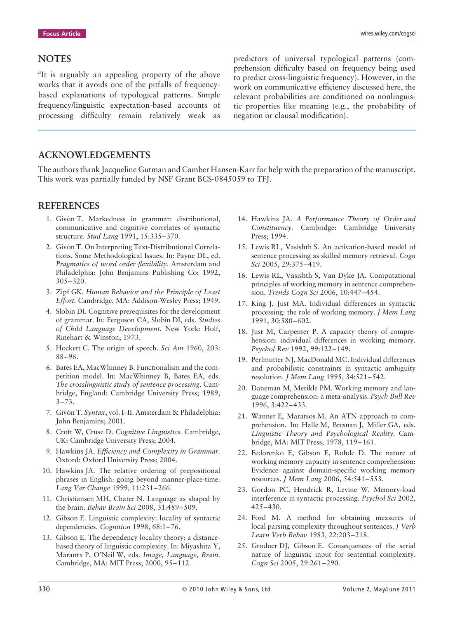#### **NOTES**

*<sup>a</sup>*It is arguably an appealing property of the above works that it avoids one of the pitfalls of frequencybased explanations of typological patterns. Simple frequency/linguistic expectation-based accounts of processing difficulty remain relatively weak as

predictors of universal typological patterns (comprehension difficulty based on frequency being used to predict cross-linguistic frequency). However, in the work on communicative efficiency discussed here, the relevant probabilities are conditioned on nonlinguistic properties like meaning (e.g., the probability of negation or clausal modification).

## **ACKNOWLEDGEMENTS**

The authors thank Jacqueline Gutman and Camber Hansen-Karr for help with the preparation of the manuscript. This work was partially funded by NSF Grant BCS-0845059 to TFJ.

#### **REFERENCES**

- 1. Givón T. Markedness in grammar: distributional, communicative and cognitive correlates of syntactic structure. *Stud Lang* 1991, 15:335–370.
- 2. Givón T. On Interpreting Text-Distributional Correlations. Some Methodological Issues. In: Payne DL, ed. *Pragmatics of word order flexibility*. Amsterdam and Philadelphia: John Benjamins Publishing Co; 1992, 305–320.
- 3. Zipf GK. *Human Behavior and the Principle of Least Effort.* Cambridge, MA: Addison-Wesley Press; 1949.
- 4. Slobin DI. Cognitive prerequisites for the development of grammar. In: Ferguson CA, Slobin DI, eds. *Studies of Child Language Development.* New York: Holf, Rinehart & Winston; 1973.
- 5. Hockett C. The origin of speech. *Sci Am* 1960, 203: 88–96.
- 6. Bates EA, MacWhinney B. Functionalism and the competition model. In: MacWhinney B, Bates EA, eds. *The crosslinguistic study of sentence processing*. Cambridge, England: Cambridge University Press; 1989,  $3 - 73.$
- 7. Givón T. Syntax, vol. I-II. Amsterdam & Philadelphia: John Benjamins; 2001.
- 8. Croft W, Cruse D. *Cognitive Linguistics.* Cambridge, UK: Cambridge University Press; 2004.
- 9. Hawkins JA. *Efficiency and Complexity in Grammar.* Oxford: Oxford University Press; 2004.
- 10. Hawkins JA. The relative ordering of prepositional phrases in English: going beyond manner-place-time. *Lang Var Change* 1999, 11:231–266.
- 11. Christiansen MH, Chater N. Language as shaped by the brain. *Behav Brain Sci* 2008, 31:489–509.
- 12. Gibson E. Linguistic complexity: locality of syntactic dependencies. *Cognition* 1998, 68:1–76.
- 13. Gibson E. The dependency locality theory: a distancebased theory of linguistic complexity. In: Miyashita Y, Marantx P, O'Neil W, eds. *Image, Language, Brain.* Cambridge, MA: MIT Press; 2000, 95–112.
- 14. Hawkins JA. *A Performance Theory of Order and Constituency.* Cambridge: Cambridge University Press; 1994.
- 15. Lewis RL, Vasishth S. An activation-based model of sentence processing as skilled memory retrieval. *Cogn Sci* 2005, 29:375–419.
- 16. Lewis RL, Vasishth S, Van Dyke JA. Computational principles of working memory in sentence comprehension. *Trends Cogn Sci* 2006, 10:447–454.
- 17. King J, Just MA. Individual differences in syntactic processing: the role of working memory. *J Mem Lang* 1991, 30:580–602.
- 18. Just M, Carpenter P. A capacity theory of comprehension: individual differences in working memory. *Psychol Rev* 1992, 99:122–149.
- 19. Perlmutter NJ, MacDonald MC. Individual differences and probabilistic constraints in syntactic ambiguity resolution. *J Mem Lang* 1995, 34:521–542.
- 20. Daneman M, Merikle PM. Working memory and language comprehension: a meta-analysis. *Psych Bull Rev* 1996, 3:422–433.
- 21. Wanner E, Maratsos M. An ATN approach to comprehension. In: Halle M, Bresnan J, Miller GA, eds. *Linguistic Theory and Psychological Reality.* Cambridge, MA: MIT Press; 1978, 119–161.
- 22. Fedorenko E, Gibson E, Rohde D. The nature of working memory capacity in sentence comprehension: Evidence against domain-specific working memory resources. *J Mem Lang* 2006, 54:541–553.
- 23. Gordon PC, Hendrick R, Levine W. Memory-load interference in syntactic processing. *Psychol Sci* 2002, 425–430.
- 24. Ford M. A method for obtaining measures of local parsing complexity throughout sentences. *J Verb Learn Verb Behav* 1983, 22:203–218.
- 25. Grodner DJ, Gibson E. Consequences of the serial nature of linguistic input for sentential complexity. *Cogn Sci* 2005, 29:261–290.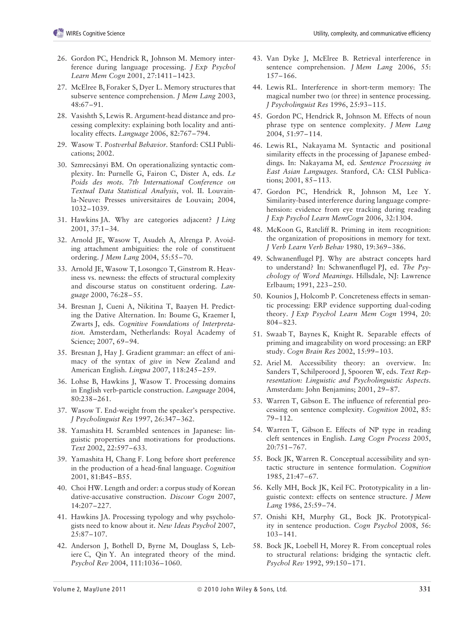- 26. Gordon PC, Hendrick R, Johnson M. Memory interference during language processing. *J Exp Psychol Learn Mem Cogn* 2001, 27:1411–1423.
- 27. McElree B, Foraker S, Dyer L. Memory structures that subserve sentence comprehension. *J Mem Lang* 2003, 48:67–91.
- 28. Vasishth S, Lewis R. Argument-head distance and processing complexity: explaining both locality and antilocality effects. *Language* 2006, 82:767–794.
- 29. Wasow T. *Postverbal Behavior.* Stanford: CSLI Publications; 2002.
- 30. Szmrecsányi BM. On operationalizing syntactic complexity. In: Purnelle G, Fairon C, Dister A, eds. *Le Poids des mots. 7th International Conference on Textual Data Statistical Analysis*, vol. II. Louvainla-Neuve: Presses universitaires de Louvain; 2004, 1032–1039.
- 31. Hawkins JA. Why are categories adjacent? *J Ling* 2001, 37:1–34.
- 32. Arnold JE, Wasow T, Asudeh A, Alrenga P. Avoiding attachment ambiguities: the role of constituent ordering. *J Mem Lang* 2004, 55:55–70.
- 33. Arnold JE, Wasow T, Losongco T, Ginstrom R. Heaviness vs. newness: the effects of structural complexity and discourse status on constituent ordering. *Language* 2000, 76:28–55.
- 34. Bresnan J, Cueni A, Nikitina T, Baayen H. Predicting the Dative Alternation. In: Boume G, Kraemer I, Zwarts J, eds. *Cognitive Foundations of Interpretation.* Amsterdam, Netherlands: Royal Academy of Science; 2007, 69–94.
- 35. Bresnan J, Hay J. Gradient grammar: an effect of animacy of the syntax of *give* in New Zealand and American English. *Lingua* 2007, 118:245–259.
- 36. Lohse B, Hawkins J, Wasow T. Processing domains in English verb-particle construction. *Language* 2004, 80:238–261.
- 37. Wasow T. End-weight from the speaker's perspective. *J Psycholinguist Res* 1997, 26:347–362.
- 38. Yamashita H. Scrambled sentences in Japanese: linguistic properties and motivations for productions. *Text* 2002, 22:597–633.
- 39. Yamashita H, Chang F. Long before short preference in the production of a head-final language. *Cognition* 2001, 81:B45–B55.
- 40. Choi HW. Length and order: a corpus study of Korean dative-accusative construction. *Discour Cogn* 2007, 14:207–227.
- 41. Hawkins JA. Processing typology and why psychologists need to know about it. *New Ideas Psychol* 2007, 25:87–107.
- 42. Anderson J, Bothell D, Byrne M, Douglass S, Lebiere C, Qin Y. An integrated theory of the mind. *Psychol Rev* 2004, 111:1036–1060.
- 43. Van Dyke J, McElree B. Retrieval interference in sentence comprehension. *J Mem Lang* 2006, 55: 157–166.
- 44. Lewis RL. Interference in short-term memory: The magical number two (or three) in sentence processing. *J Psycholinguist Res* 1996, 25:93–115.
- 45. Gordon PC, Hendrick R, Johnson M. Effects of noun phrase type on sentence complexity. *J Mem Lang* 2004, 51:97–114.
- 46. Lewis RL, Nakayama M. Syntactic and positional similarity effects in the processing of Japanese embeddings. In: Nakayama M, ed. *Sentence Processing in East Asian Languages.* Stanford, CA: CLSI Publications; 2001, 85–113.
- 47. Gordon PC, Hendrick R, Johnson M, Lee Y. Similarity-based interference during language comprehension: evidence from eye tracking during reading *J Exp Psychol Learn MemCogn* 2006, 32:1304.
- 48. McKoon G, Ratcliff R. Priming in item recognition: the organization of propositions in memory for text. *J Verb Learn Verb Behav* 1980, 19:369–386.
- 49. Schwanenflugel PJ. Why are abstract concepts hard to understand? In: Schwanenflugel PJ, ed. *The Psychology of Word Meanings.* Hillsdale, NJ: Lawrence Erlbaum; 1991, 223–250.
- 50. Kounios J, Holcomb P. Concreteness effects in semantic processing: ERP evidence supporting dual-coding theory. *J Exp Psychol Learn Mem Cogn* 1994, 20: 804–823.
- 51. Swaab T, Baynes K, Knight R. Separable effects of priming and imageability on word processing: an ERP study. *Cogn Brain Res* 2002, 15:99–103.
- 52. Ariel M. Accessibility theory: an overview. In: Sanders T, Schilperoord J, Spooren W, eds. *Text Representation: Linguistic and Psycholinguistic Aspects.* Amsterdam: John Benjamins; 2001, 29–87.
- 53. Warren T, Gibson E. The influence of referential processing on sentence complexity. *Cognition* 2002, 85: 79–112.
- 54. Warren T, Gibson E. Effects of NP type in reading cleft sentences in English. *Lang Cogn Process* 2005, 20:751–767.
- 55. Bock JK, Warren R. Conceptual accessibility and syntactic structure in sentence formulation. *Cognition* 1985, 21:47–67.
- 56. Kelly MH, Bock JK, Keil FC. Prototypicality in a linguistic context: effects on sentence structure. *J Mem Lang* 1986, 25:59–74.
- 57. Onishi KH, Murphy GL, Bock JK. Prototypicality in sentence production. *Cogn Psychol* 2008, 56: 103–141.
- 58. Bock JK, Loebell H, Morey R. From conceptual roles to structural relations: bridging the syntactic cleft. *Psychol Rev* 1992, 99:150–171.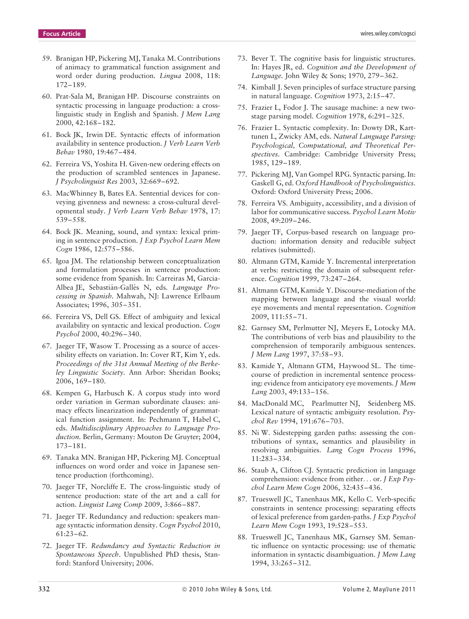- 59. Branigan HP, Pickering MJ, Tanaka M. Contributions of animacy to grammatical function assignment and word order during production. *Lingua* 2008, 118: 172–189.
- 60. Prat-Sala M, Branigan HP. Discourse constraints on syntactic processing in language production: a crosslinguistic study in English and Spanish. *J Mem Lang* 2000, 42:168–182.
- 61. Bock JK, Irwin DE. Syntactic effects of information availability in sentence production. *J Verb Learn Verb Behav* 1980, 19:467–484.
- 62. Ferreira VS, Yoshita H. Given-new ordering effects on the production of scrambled sentences in Japanese. *J Psycholinguist Res* 2003, 32:669–692.
- 63. MacWhinney B, Bates EA. Sentential devices for conveying givenness and newness: a cross-cultural developmental study. *J Verb Learn Verb Behav* 1978, 17: 539–558.
- 64. Bock JK. Meaning, sound, and syntax: lexical priming in sentence production. *J Exp Psychol Learn Mem Cogn* 1986, 12:575–586.
- 65. Igoa JM. The relationship between conceptualization and formulation processes in sentence production: some evidence from Spanish. In: Carreiras M, Garcia-Albea JE, Sebastián-Gallés N, eds. *Language Processing in Spanish.* Mahwah, NJ: Lawrence Erlbaum Associates; 1996, 305–351.
- 66. Ferreira VS, Dell GS. Effect of ambiguity and lexical availability on syntactic and lexical production. *Cogn Psychol* 2000, 40:296–340.
- 67. Jaeger TF, Wasow T. Processing as a source of accessibility effects on variation. In: Cover RT, Kim Y, eds. *Proceedings of the 31st Annual Meeting of the Berkeley Linguistic Society.* Ann Arbor: Sheridan Books; 2006, 169–180.
- 68. Kempen G, Harbusch K. A corpus study into word order variation in German subordinate clauses: animacy effects linearization independently of grammatical function assignment. In: Pechmann T, Habel C, eds. *Multidisciplinary Approaches to Language Production.* Berlin, Germany: Mouton De Gruyter; 2004, 173–181.
- 69. Tanaka MN. Branigan HP, Pickering MJ. Conceptual influences on word order and voice in Japanese sentence production (forthcoming).
- 70. Jaeger TF, Norcliffe E. The cross-linguistic study of sentence production: state of the art and a call for action. *Linguist Lang Comp* 2009, 3:866–887.
- 71. Jaeger TF. Redundancy and reduction: speakers manage syntactic information density. *Cogn Psychol* 2010, 61:23–62.
- 72. Jaeger TF. *Redundancy and Syntactic Reduction in Spontaneous Speech*. Unpublished PhD thesis, Stanford: Stanford University; 2006.
- 73. Bever T. The cognitive basis for linguistic structures. In: Hayes JR, ed. *Cognition and the Development of Language.* John Wiley & Sons; 1970, 279–362.
- 74. Kimball J. Seven principles of surface structure parsing in natural language. *Cognition* 1973, 2:15–47.
- 75. Frazier L, Fodor J. The sausage machine: a new twostage parsing model. *Cognition* 1978, 6:291–325.
- 76. Frazier L. Syntactic complexity. In: Dowty DR, Karttunen L, Zwicky AM, eds. *Natural Language Parsing: Psychological, Computational, and Theoretical Perspectives.* Cambridge: Cambridge University Press; 1985, 129–189.
- 77. Pickering MJ, Van Gompel RPG. Syntactic parsing. In: Gaskell G, ed. *Oxford Handbook of Psycholinguistics.* Oxford: Oxford University Press; 2006.
- 78. Ferreira VS. Ambiguity, accessibility, and a division of labor for communicative success. *Psychol Learn Motiv* 2008, 49:209–246.
- 79. Jaeger TF, Corpus-based research on language production: information density and reducible subject relatives (submitted).
- 80. Altmann GTM, Kamide Y. Incremental interpretation at verbs: restricting the domain of subsequent reference. *Cognition* 1999, 73:247–264.
- 81. Altmann GTM, Kamide Y. Discourse-mediation of the mapping between language and the visual world: eye movements and mental representation. *Cognition* 2009, 111:55–71.
- 82. Garnsey SM, Perlmutter NJ, Meyers E, Lotocky MA. The contributions of verb bias and plausibility to the comprehension of temporarily ambiguous sentences. *J Mem Lang* 1997, 37:58–93.
- 83. Kamide Y, Altmann GTM, Haywood SL. The timecourse of prediction in incremental sentence processing: evidence from anticipatory eye movements. *J Mem Lang* 2003, 49:133–156.
- 84. MacDonald MC, Pearlmutter NJ, Seidenberg MS. Lexical nature of syntactic ambiguity resolution. *Psychol Rev* 1994, 191:676–703.
- 85. Ni W. Sidestepping garden paths: assessing the contributions of syntax, semantics and plausibility in resolving ambiguities. *Lang Cogn Process* 1996, 11:283–334.
- 86. Staub A, Clifton CJ. Syntactic prediction in language comprehension: evidence from either*...* or. *J Exp Psychol Learn Mem Cogn* 2006, 32:435–436.
- 87. Trueswell JC, Tanenhaus MK, Kello C. Verb-specific constraints in sentence processing: separating effects of lexical preference from garden-paths. *J Exp Psychol Learn Mem Cogn* 1993, 19:528–553.
- 88. Trueswell JC, Tanenhaus MK, Garnsey SM. Semantic influence on syntactic processing: use of thematic information in syntactic disambiguation. *J Mem Lang* 1994, 33:265–312.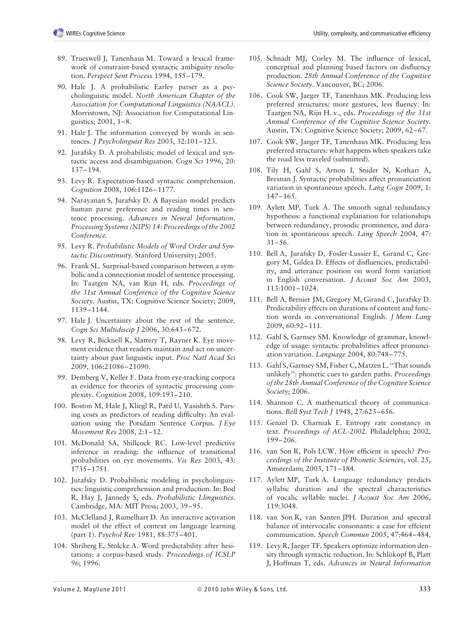- 89. Trueswell J, Tanenhaus M. Toward a lexical framework of constraint-based syntactic ambiguity resolution. *Perspect Sent Process* 1994, 155–179.
- 90. Hale J. A probabilistic Earley parser as a psycholinguistic model. *North American Chapter of the Association for Computational Linguistics (NAACL).* Morristown, NJ: Association for Computational Linguistics; 2001, 1–8.
- 91. Hale J. The information conveyed by words in sentences. *J Psycholinguist Res* 2003, 32:101–123.
- 92. Jurafsky D. A probabilistic model of lexical and syntactic access and disambiguation. *Cogn Sci* 1996, 20: 137–194.
- 93. Levy R. Expectation-based syntactic comprehension. *Cognition* 2008, 106:1126–1177.
- 94. Narayanan S, Jurafsky D. A Bayesian model predicts human parse preference and reading times in sentence processing. *Advances in Neural Information*. *Processing Systems (NIPS) 14: Proceedings of the 2002 Conference*.
- 95. Levy R. *Probabilistic Models of Word Order and Syntactic Discontinuity.* Stanford University; 2005.
- 96. Frank SL. Surprisal-based comparison between a symbolic and a connectionist model of sentence processing. In: Taatgen NA, van Rijn H, eds. *Proceedings of the 31st Annual Conference of the Cognitive Science Society*. Austin, TX: Cognitive Science Society; 2009, 1139–1144.
- 97. Hale J. Uncertainty about the rest of the sentence. *Cogn Sci Multidiscip J* 2006, 30:643–672.
- 98. Levy R, Bicknell K, Slattery T, Rayner K. Eye movement evidence that readers maintain and act on uncertainty about past linguistic input. *Proc Natl Acad Sci* 2009, 106:21086–21090.
- 99. Demberg V, Keller F. Data from eye-tracking corpora as evidence for theories of syntactic processing complexity. *Cognition* 2008, 109:193–210.
- 100. Boston M, Hale J, Kliegl R, Patil U, Vasishth S. Parsing costs as predictors of reading difficulty: An evaluation using the Potsdam Sentence Corpus. *J Eye Movement Res* 2008, 2:1–12.
- 101. McDonald SA, Shillcock RC. Low-level predictive inference in reading: the influence of transitional probabilities on eye movements. *Vis Res* 2003, 43: 1735–1751.
- 102. Jurafsky D. Probabilistic modeling in psycholinguistics: linguistic comprehension and production. In: Bod R, Hay J, Jannedy S, eds. *Probabilistic Llinguistics*. Cambridge, MA: MIT Press; 2003, 39–95.
- 103. McClelland J, Rumelhart D. An interactive activation model of the effect of context on language learning (part 1). *Psychol Rev* 1981, 88:375–401.
- 104. Shriberg E, Stolcke A. Word predictability after hesitations: a corpus-based study. *Proceedings of ICSLP 96*; 1996.
- 105. Schnadt MJ, Corley M. The influence of lexical, conceptual and planning based factors on disfluency production. *28th Annual Conference of the Cognitive Science Society.* Vancouver, BC; 2006.
- 106. Cook SW, Jaeger TF, Tanenhaus MK. Producing less preferred structures: more gestures, less fluency. In: Taatgen NA, Rijn H. v., eds. *Proceedings of the 31st Annual Conference of the Cognitive Science Society.* Austin, TX: Cognitive Science Society; 2009, 62–67.
- 107. Cook SW, Jaeger TF, Tanenhaus MK. Producing less preferred structures: what happens when speakers take the road less traveled (submitted).
- 108. Tily H, Gahl S, Arnon I, Snider N, Kothari A, Bresnan J. Syntactic probabilities affect pronunciation variation in spontaneous speech. *Lang Cogn* 2009, 1: 147–165.
- 109. Aylett MP, Turk A. The smooth signal redundancy hypothesis: a functional explanation for relationships between redundancy, prosodic prominence, and duration in spontaneous speech. *Lang Speech* 2004, 47: 31–56.
- 110. Bell A, Jurafsky D, Fosler-Lussier E, Girand C, Gregory M, Gildea D. Effects of disfluencies, predictability, and utterance position on word form variation in English conversation. *J Acoust Soc Am* 2003, 113:1001–1024.
- 111. Bell A, Brenier JM, Gregory M, Girand C, Jurafsky D. Predictability effects on durations of content and function words in conversational English. *J Mem Lang* 2009, 60:92–111.
- 112. Gahl S, Garnsey SM. Knowledge of grammar, knowledge of usage: syntactic probabilities affect pronunciation variation. *Language* 2004, 80:748–775.
- 113. Gahl S, Garnsey SM, Fisher C, Matzen L. ''That sounds unlikely'': phonetic cues to garden paths. *Proceedings of the 28th Annual Conference of the Cognitive Science Society*; 2006.
- 114. Shannon C. A mathematical theory of communications. *Bell Syst Tech J* 1948, 27:623–656.
- 115. Genzel D. Charniak E. Entropy rate constancy in text. *Proceedings of ACL-2002.* Philadelphia; 2002, 199–206.
- 116. van Son R, Pols LCW. How efficient is speech? *Proceedings of the Institute of Phonetic Sciences*, vol. 25, Amsterdam; 2003, 171–184.
- 117. Aylett MP, Turk A. Language redundancy predicts syllabic duration and the spectral characteristics of vocalic syllable nuclei. *J Acoust Soc Am* 2006, 119:3048.
- 118. van Son R, van Santen JPH. Duration and spectral balance of intervocalic consonants: a case for effcient communication. *Speech Commun* 2005, 47:464–484.
- 119. Levy R, Jaeger TF. Speakers optimize information density through syntactic reduction. In: Schlökopf B, Platt J, Hoffman T, eds. *Advances in Neural Information*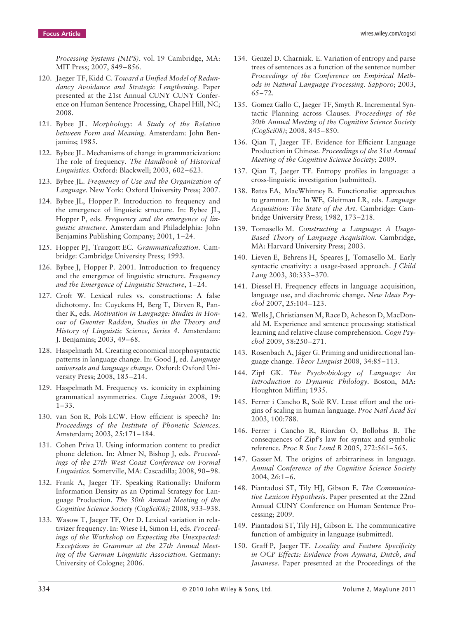*Processing Systems (NIPS)*. vol. 19 Cambridge, MA: MIT Press; 2007, 849–856.

- 120. Jaeger TF, Kidd C. *Toward a Unified Model of Redundancy Avoidance and Strategic Lengthening.* Paper presented at the 21st Annual CUNY CUNY Conference on Human Sentence Processing, Chapel Hill, NC; 2008.
- 121. Bybee JL. *Morphology: A Study of the Relation between Form and Meaning.* Amsterdam: John Benjamins; 1985.
- 122. Bybee JL. Mechanisms of change in grammaticization: The role of frequency. *The Handbook of Historical Linguistics*. Oxford: Blackwell; 2003, 602–623.
- 123. Bybee JL. *Frequency of Use and the Organization of Language.* New York: Oxford University Press; 2007.
- 124. Bybee JL, Hopper P. Introduction to frequency and the emergence of linguistic structure. In: Bybee JL, Hopper P, eds. *Frequency and the emergence of linguistic structure*. Amsterdam and Philadelphia: John Benjamins Publishing Company; 2001, 1–24.
- 125. Hopper PJ, Traugott EC. *Grammaticalization*. Cambridge: Cambridge University Press; 1993.
- 126. Bybee J, Hopper P. 2001. Introduction to frequency and the emergence of linguistic structure. *Frequency and the Emergence of Linguistic Structure*, 1–24.
- 127. Croft W. Lexical rules vs. constructions: A false dichotomy. In: Cuyckens H, Berg T, Dirven R, Panther K, eds. *Motivation in Language: Studies in Honour of Guenter Radden, Studies in the Theory and History of Linguistic Science, Series 4.* Amsterdam: J. Benjamins; 2003, 49–68.
- 128. Haspelmath M. Creating economical morphosyntactic patterns in language change. In: Good J, ed. *Language universals and language change*. Oxford: Oxford University Press; 2008, 185–214.
- 129. Haspelmath M. Frequency vs. iconicity in explaining grammatical asymmetries. *Cogn Linguist* 2008, 19: 1–33.
- 130. van Son R, Pols LCW. How efficient is speech? In: *Proceedings of the Institute of Phonetic Sciences*. Amsterdam; 2003, 25:171–184.
- 131. Cohen Priva U. Using information content to predict phone deletion. In: Abner N, Bishop J, eds. *Proceedings of the 27th West Coast Conference on Formal Linguistics.* Somerville, MA: Cascadilla; 2008, 90–98.
- 132. Frank A, Jaeger TF. Speaking Rationally: Uniform Information Density as an Optimal Strategy for Language Production. *The 30th Annual Meeting of the Cognitive Science Society (CogSci08);* 2008, 933–938.
- 133. Wasow T, Jaeger TF, Orr D. Lexical variation in relativizer frequency. In: Wiese H, Simon H, eds. *Proceedings of the Workshop on Expecting the Unexpected: Exceptions in Grammar at the 27th Annual Meeting of the German Linguistic Association.* Germany: University of Cologne; 2006.
- 134. Genzel D. Charniak. E. Variation of entropy and parse trees of sentences as a function of the sentence number *Proceedings of the Conference on Empirical Methods in Natural Language Processing. Sapporo*; 2003, 65–72.
- 135. Gomez Gallo C, Jaeger TF, Smyth R. Incremental Syntactic Planning across Clauses. *Proceedings of the 30th Annual Meeting of the Cognitive Science Society (CogSci08)*; 2008, 845–850.
- 136. Qian T, Jaeger TF. Evidence for Efficient Language Production in Chinese. *Proceedings of the 31st Annual Meeting of the Cognitive Science Society*; 2009.
- 137. Qian T, Jaeger TF. Entropy profiles in language: a cross-linguistic investigation (submitted).
- 138. Bates EA, MacWhinney B. Functionalist approaches to grammar. In: In WE, Gleitman LR, eds. *Language Acquisition: The State of the Art.* Cambridge: Cambridge University Press; 1982, 173–218.
- 139. Tomasello M. *Constructing a Language: A Usage-Based Theory of Language Acquisition.* Cambridge, MA: Harvard University Press; 2003.
- 140. Lieven E, Behrens H, Speares J, Tomasello M. Early syntactic creativity: a usage-based approach. *J Child Lang* 2003, 30:333–370.
- 141. Diessel H. Frequency effects in language acquisition, language use, and diachronic change. *New Ideas Psychol* 2007, 25:104–123.
- 142. Wells J, Christiansen M, Race D, Acheson D, MacDonald M. Experience and sentence processing: statistical learning and relative clause comprehension. *Cogn Psychol* 2009, 58:250–271.
- 143. Rosenbach A, Jäger G. Priming and unidirectional language change. *Theor Linguist* 2008, 34:85–113.
- 144. Zipf GK. *The Psychobiology of Language: An Introduction to Dynamic Philology.* Boston, MA: Houghton Mifflin; 1935.
- 145. Ferrer i Cancho R, Solé RV. Least effort and the origins of scaling in human language. *Proc Natl Acad Sci* 2003, 100:788.
- 146. Ferrer i Cancho R, Riordan O, Bollobas B. The consequences of Zipf's law for syntax and symbolic reference. *Proc R Soc Lond B* 2005, 272:561–565.
- 147. Gasser M. The origins of arbitrariness in language. *Annual Conference of the Cognitive Science Society* 2004, 26:1–6.
- 148. Piantadosi ST, Tily HJ, Gibson E. *The Communicative Lexicon Hypothesis*. Paper presented at the 22nd Annual CUNY Conference on Human Sentence Processing; 2009.
- 149. Piantadosi ST, Tily HJ, Gibson E. The communicative function of ambiguity in language (submitted).
- 150. Graff P, Jaeger TF. *Locality and Feature Specificity in OCP Effects: Evidence from Aymara, Dutch, and Javanese.* Paper presented at the Proceedings of the